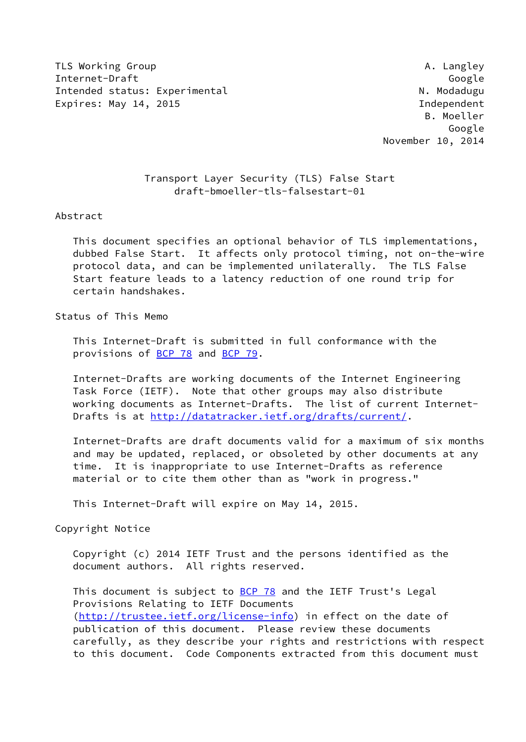TLS Working Group and the contract of the contract of the contract of the contract of the contract of the contract of the contract of the contract of the contract of the contract of the contract of the contract of the cont Internet-Draft Google Intended status: Experimental N. Modadugu Expires: May 14, 2015 **Independent** 

 B. Moeller Google November 10, 2014

## Transport Layer Security (TLS) False Start draft-bmoeller-tls-falsestart-01

## Abstract

 This document specifies an optional behavior of TLS implementations, dubbed False Start. It affects only protocol timing, not on-the-wire protocol data, and can be implemented unilaterally. The TLS False Start feature leads to a latency reduction of one round trip for certain handshakes.

## Status of This Memo

 This Internet-Draft is submitted in full conformance with the provisions of **BCP 78** and **BCP 79**.

 Internet-Drafts are working documents of the Internet Engineering Task Force (IETF). Note that other groups may also distribute working documents as Internet-Drafts. The list of current Internet Drafts is at<http://datatracker.ietf.org/drafts/current/>.

 Internet-Drafts are draft documents valid for a maximum of six months and may be updated, replaced, or obsoleted by other documents at any time. It is inappropriate to use Internet-Drafts as reference material or to cite them other than as "work in progress."

This Internet-Draft will expire on May 14, 2015.

Copyright Notice

 Copyright (c) 2014 IETF Trust and the persons identified as the document authors. All rights reserved.

This document is subject to **[BCP 78](https://datatracker.ietf.org/doc/pdf/bcp78)** and the IETF Trust's Legal Provisions Relating to IETF Documents [\(http://trustee.ietf.org/license-info](http://trustee.ietf.org/license-info)) in effect on the date of publication of this document. Please review these documents carefully, as they describe your rights and restrictions with respect to this document. Code Components extracted from this document must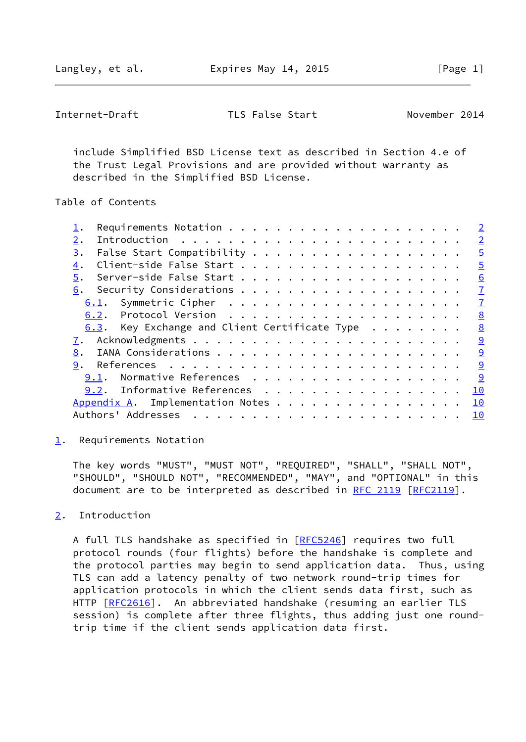<span id="page-1-1"></span>Internet-Draft TLS False Start November 2014

 include Simplified BSD License text as described in Section 4.e of the Trust Legal Provisions and are provided without warranty as described in the Simplified BSD License.

Table of Contents

|                                                        | $\overline{2}$ |
|--------------------------------------------------------|----------------|
|                                                        | $\overline{2}$ |
| 3.                                                     | $\overline{5}$ |
|                                                        | $\overline{5}$ |
|                                                        | 6              |
| 6.                                                     | $\mathbf{I}$   |
| 6.1.                                                   | $\mathbf{Z}$   |
|                                                        | 8              |
| 6.3. Key Exchange and Client Certificate Type $\cdots$ | 8              |
|                                                        | 9              |
| 8.                                                     | 9              |
| 9.                                                     | 9              |
| Normative References<br>9.1.                           | 9              |
| 9.2. Informative References                            | 10             |
| Appendix A. Implementation Notes                       | 10             |
| Authors' Addresses                                     | 10             |
|                                                        |                |

<span id="page-1-0"></span> $\underline{1}$  $\underline{1}$  $\underline{1}$ . Requirements Notation

 The key words "MUST", "MUST NOT", "REQUIRED", "SHALL", "SHALL NOT", "SHOULD", "SHOULD NOT", "RECOMMENDED", "MAY", and "OPTIONAL" in this document are to be interpreted as described in [RFC 2119 \[RFC2119](https://datatracker.ietf.org/doc/pdf/rfc2119)].

## <span id="page-1-2"></span>[2](#page-1-2). Introduction

A full TLS handshake as specified in [\[RFC5246](https://datatracker.ietf.org/doc/pdf/rfc5246)] requires two full protocol rounds (four flights) before the handshake is complete and the protocol parties may begin to send application data. Thus, using TLS can add a latency penalty of two network round-trip times for application protocols in which the client sends data first, such as HTTP [\[RFC2616](https://datatracker.ietf.org/doc/pdf/rfc2616)]. An abbreviated handshake (resuming an earlier TLS session) is complete after three flights, thus adding just one round trip time if the client sends application data first.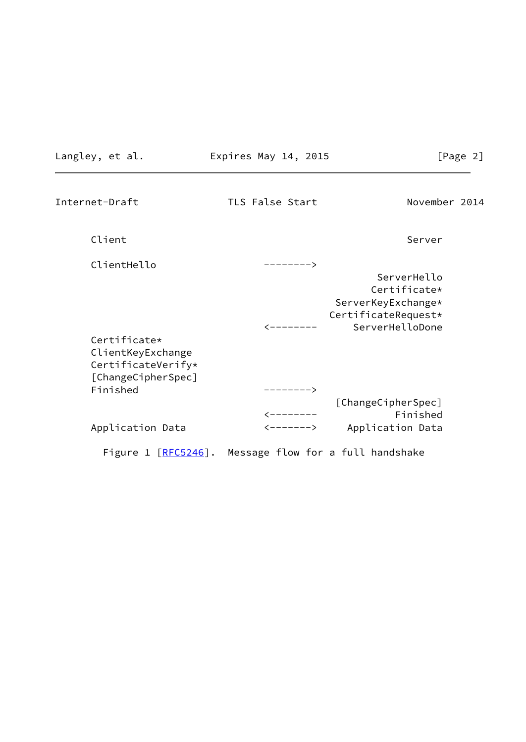Langley, et al. Expires May 14, 2015 [Pag

| σ<br>, |  |
|--------|--|
| ٠J٠    |  |
|        |  |

| Internet-Draft           | TLS False Start              | November 2014                     |
|--------------------------|------------------------------|-----------------------------------|
| Client                   |                              | Server                            |
| ClientHello              | -------->                    |                                   |
|                          |                              | ServerHello                       |
|                          |                              | Certificate*                      |
|                          |                              | ServerKeyExchange*                |
|                          |                              | CertificateRequest*               |
|                          |                              | ServerHelloDone                   |
| Certificate*             |                              |                                   |
| ClientKeyExchange        |                              |                                   |
| CertificateVerify*       |                              |                                   |
| [ChangeCipherSpec]       |                              |                                   |
| Finished                 | -------->                    |                                   |
|                          |                              | [ChangeCipherSpec]                |
|                          | <-------                     | Finished                          |
| Application Data         | $\leftarrow$ - - - - - - $>$ | Application Data                  |
| Figure $1$ $[RFC5246]$ . |                              | Message flow for a full handshake |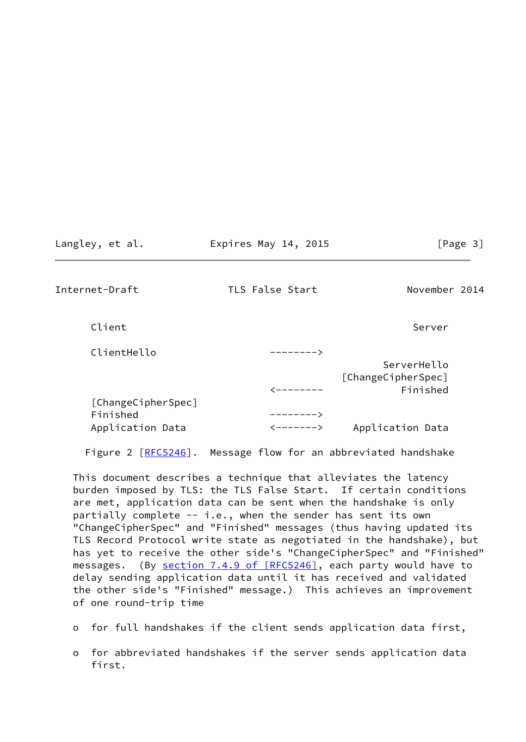Langley, et al. **Expires May 14, 2015** [Page 3]

Internet-Draft TLS False Start November 2014

Client Server Server Server Server Server Server Server Server Server Server Server Server Server Server Server

| ClientHello        |           |                    |
|--------------------|-----------|--------------------|
|                    |           | ServerHello        |
|                    |           | [ChangeCipherSpec] |
|                    | --------  | Finished           |
| [ChangeCipherSpec] |           |                    |
| Finished           | ————————> |                    |
| Application Data   | <------>  | Application Data   |

Figure 2 [[RFC5246\]](https://datatracker.ietf.org/doc/pdf/rfc5246). Message flow for an abbreviated handshake

 This document describes a technique that alleviates the latency burden imposed by TLS: the TLS False Start. If certain conditions are met, application data can be sent when the handshake is only partially complete -- i.e., when the sender has sent its own "ChangeCipherSpec" and "Finished" messages (thus having updated its TLS Record Protocol write state as negotiated in the handshake), but has yet to receive the other side's "ChangeCipherSpec" and "Finished" messages. (By section [7.4.9 of \[RFC5246\],](https://datatracker.ietf.org/doc/pdf/rfc5246#section-7.4.9) each party would have to delay sending application data until it has received and validated the other side's "Finished" message.) This achieves an improvement of one round-trip time

- o for full handshakes if the client sends application data first,
- o for abbreviated handshakes if the server sends application data first.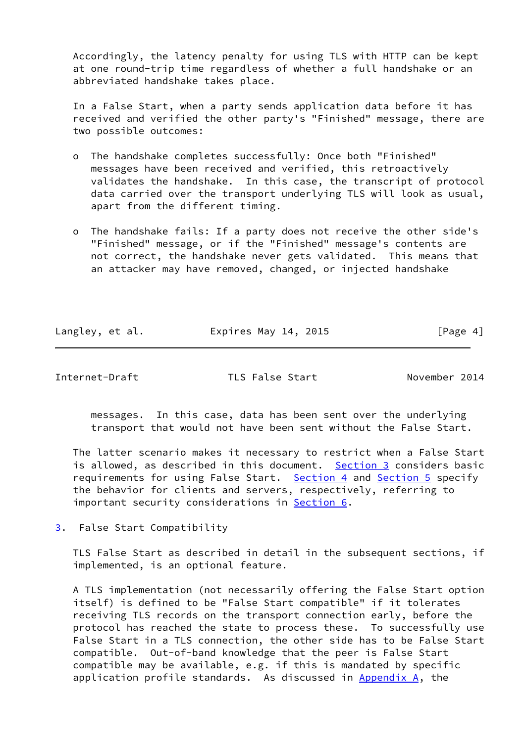Accordingly, the latency penalty for using TLS with HTTP can be kept at one round-trip time regardless of whether a full handshake or an abbreviated handshake takes place.

 In a False Start, when a party sends application data before it has received and verified the other party's "Finished" message, there are two possible outcomes:

- o The handshake completes successfully: Once both "Finished" messages have been received and verified, this retroactively validates the handshake. In this case, the transcript of protocol data carried over the transport underlying TLS will look as usual, apart from the different timing.
- o The handshake fails: If a party does not receive the other side's "Finished" message, or if the "Finished" message's contents are not correct, the handshake never gets validated. This means that an attacker may have removed, changed, or injected handshake

| Langley, et al. | Expires May 14, 2015 | [Page 4] |
|-----------------|----------------------|----------|
|                 |                      |          |

<span id="page-4-1"></span>Internet-Draft TLS False Start November 2014

 messages. In this case, data has been sent over the underlying transport that would not have been sent without the False Start.

 The latter scenario makes it necessary to restrict when a False Start is allowed, as described in this document. [Section 3](#page-4-0) considers basic requirements for using False Start. [Section 4](#page-5-0) and [Section 5](#page-6-0) specify the behavior for clients and servers, respectively, referring to important security considerations in [Section 6](#page-6-1).

<span id="page-4-0"></span>[3](#page-4-0). False Start Compatibility

 TLS False Start as described in detail in the subsequent sections, if implemented, is an optional feature.

 A TLS implementation (not necessarily offering the False Start option itself) is defined to be "False Start compatible" if it tolerates receiving TLS records on the transport connection early, before the protocol has reached the state to process these. To successfully use False Start in a TLS connection, the other side has to be False Start compatible. Out-of-band knowledge that the peer is False Start compatible may be available, e.g. if this is mandated by specific application profile standards. As discussed in  $\Delta p$  and  $\Delta$ , the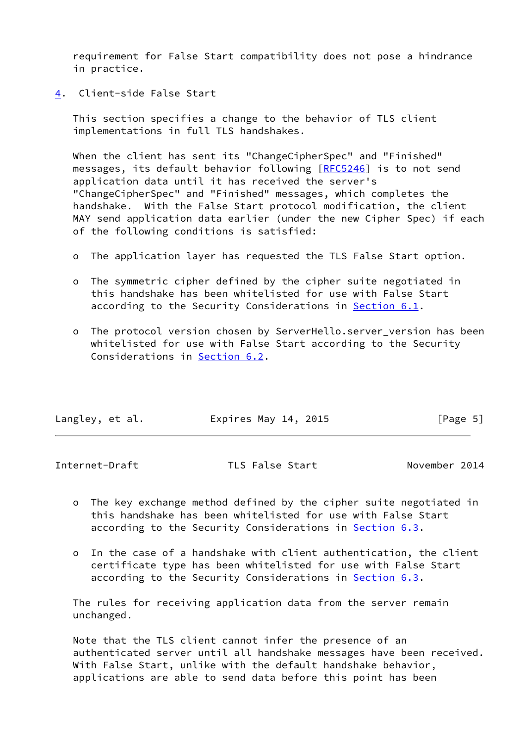requirement for False Start compatibility does not pose a hindrance in practice.

<span id="page-5-0"></span>[4](#page-5-0). Client-side False Start

 This section specifies a change to the behavior of TLS client implementations in full TLS handshakes.

 When the client has sent its "ChangeCipherSpec" and "Finished" messages, its default behavior following [\[RFC5246](https://datatracker.ietf.org/doc/pdf/rfc5246)] is to not send application data until it has received the server's "ChangeCipherSpec" and "Finished" messages, which completes the handshake. With the False Start protocol modification, the client MAY send application data earlier (under the new Cipher Spec) if each of the following conditions is satisfied:

- o The application layer has requested the TLS False Start option.
- o The symmetric cipher defined by the cipher suite negotiated in this handshake has been whitelisted for use with False Start according to the Security Considerations in [Section 6.1](#page-7-0).
- o The protocol version chosen by ServerHello.server\_version has been whitelisted for use with False Start according to the Security Considerations in [Section 6.2](#page-8-0).

| Langley, et al. | Expires May 14, 2015 | [Page 5] |
|-----------------|----------------------|----------|
|                 |                      |          |

<span id="page-5-1"></span>

| Internet-Draft | TLS False Start | November 2014 |
|----------------|-----------------|---------------|
|                |                 |               |

- o The key exchange method defined by the cipher suite negotiated in this handshake has been whitelisted for use with False Start according to the Security Considerations in [Section 6.3](#page-8-1).
- o In the case of a handshake with client authentication, the client certificate type has been whitelisted for use with False Start according to the Security Considerations in **[Section 6.3](#page-8-1)**.

 The rules for receiving application data from the server remain unchanged.

 Note that the TLS client cannot infer the presence of an authenticated server until all handshake messages have been received. With False Start, unlike with the default handshake behavior, applications are able to send data before this point has been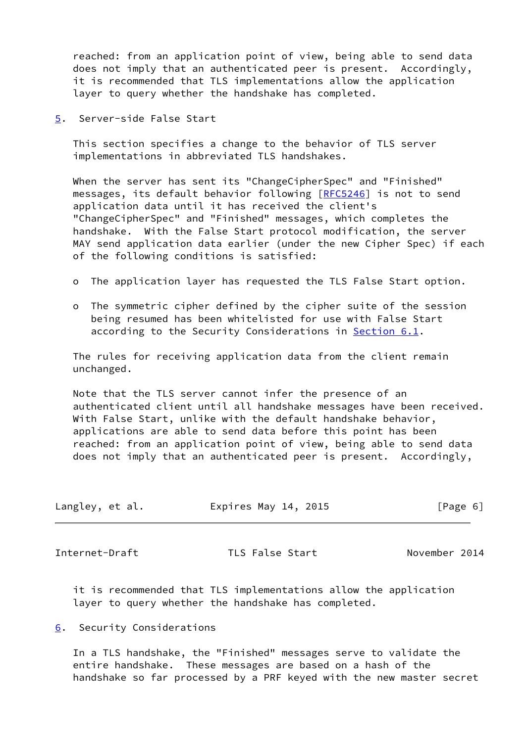reached: from an application point of view, being able to send data does not imply that an authenticated peer is present. Accordingly, it is recommended that TLS implementations allow the application layer to query whether the handshake has completed.

<span id="page-6-0"></span>[5](#page-6-0). Server-side False Start

 This section specifies a change to the behavior of TLS server implementations in abbreviated TLS handshakes.

 When the server has sent its "ChangeCipherSpec" and "Finished" messages, its default behavior following [\[RFC5246](https://datatracker.ietf.org/doc/pdf/rfc5246)] is not to send application data until it has received the client's "ChangeCipherSpec" and "Finished" messages, which completes the handshake. With the False Start protocol modification, the server MAY send application data earlier (under the new Cipher Spec) if each of the following conditions is satisfied:

- o The application layer has requested the TLS False Start option.
- o The symmetric cipher defined by the cipher suite of the session being resumed has been whitelisted for use with False Start according to the Security Considerations in [Section 6.1](#page-7-0).

 The rules for receiving application data from the client remain unchanged.

 Note that the TLS server cannot infer the presence of an authenticated client until all handshake messages have been received. With False Start, unlike with the default handshake behavior, applications are able to send data before this point has been reached: from an application point of view, being able to send data does not imply that an authenticated peer is present. Accordingly,

| Langley, et al. | Expires May 14, 2015 | [Page 6] |
|-----------------|----------------------|----------|
|                 |                      |          |

<span id="page-6-2"></span>Internet-Draft TLS False Start November 2014

 it is recommended that TLS implementations allow the application layer to query whether the handshake has completed.

<span id="page-6-1"></span>[6](#page-6-1). Security Considerations

 In a TLS handshake, the "Finished" messages serve to validate the entire handshake. These messages are based on a hash of the handshake so far processed by a PRF keyed with the new master secret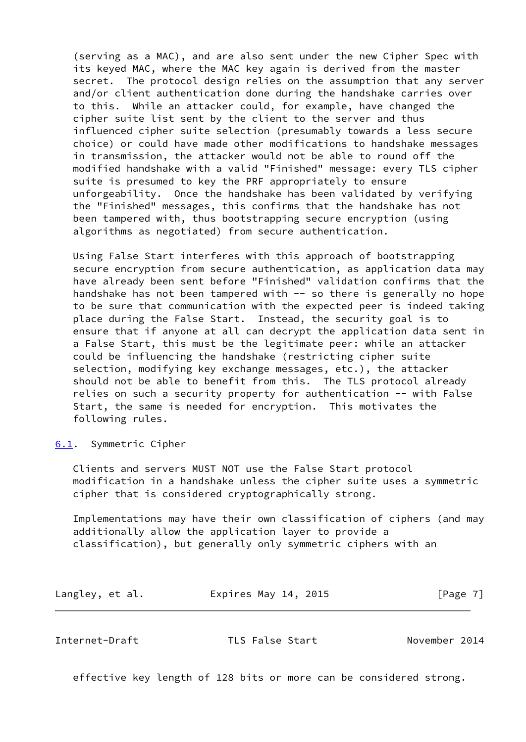(serving as a MAC), and are also sent under the new Cipher Spec with its keyed MAC, where the MAC key again is derived from the master secret. The protocol design relies on the assumption that any server and/or client authentication done during the handshake carries over to this. While an attacker could, for example, have changed the cipher suite list sent by the client to the server and thus influenced cipher suite selection (presumably towards a less secure choice) or could have made other modifications to handshake messages in transmission, the attacker would not be able to round off the modified handshake with a valid "Finished" message: every TLS cipher suite is presumed to key the PRF appropriately to ensure unforgeability. Once the handshake has been validated by verifying the "Finished" messages, this confirms that the handshake has not been tampered with, thus bootstrapping secure encryption (using algorithms as negotiated) from secure authentication.

 Using False Start interferes with this approach of bootstrapping secure encryption from secure authentication, as application data may have already been sent before "Finished" validation confirms that the handshake has not been tampered with -- so there is generally no hope to be sure that communication with the expected peer is indeed taking place during the False Start. Instead, the security goal is to ensure that if anyone at all can decrypt the application data sent in a False Start, this must be the legitimate peer: while an attacker could be influencing the handshake (restricting cipher suite selection, modifying key exchange messages, etc.), the attacker should not be able to benefit from this. The TLS protocol already relies on such a security property for authentication -- with False Start, the same is needed for encryption. This motivates the following rules.

<span id="page-7-0"></span>[6.1](#page-7-0). Symmetric Cipher

 Clients and servers MUST NOT use the False Start protocol modification in a handshake unless the cipher suite uses a symmetric cipher that is considered cryptographically strong.

 Implementations may have their own classification of ciphers (and may additionally allow the application layer to provide a classification), but generally only symmetric ciphers with an

| Langley, et al. | Expires May 14, 2015 | [Page 7] |
|-----------------|----------------------|----------|
|-----------------|----------------------|----------|

<span id="page-7-1"></span>Internet-Draft TLS False Start November 2014

effective key length of 128 bits or more can be considered strong.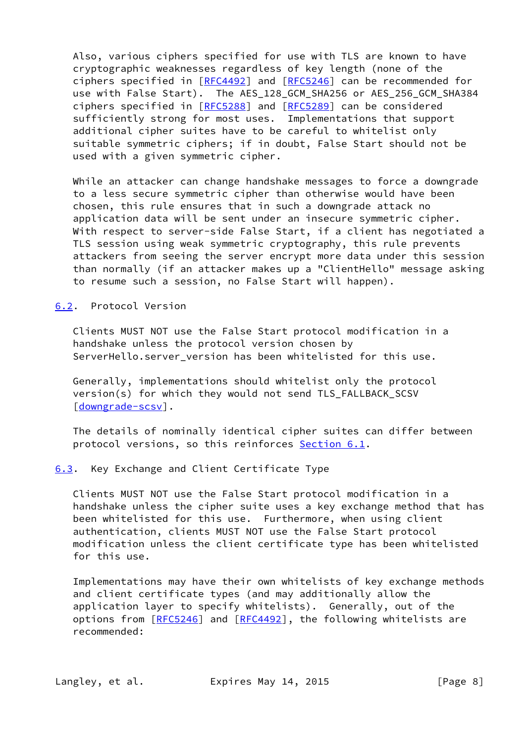Also, various ciphers specified for use with TLS are known to have cryptographic weaknesses regardless of key length (none of the ciphers specified in [\[RFC4492](https://datatracker.ietf.org/doc/pdf/rfc4492)] and [[RFC5246\]](https://datatracker.ietf.org/doc/pdf/rfc5246) can be recommended for use with False Start). The AES\_128\_GCM\_SHA256 or AES\_256\_GCM\_SHA384 ciphers specified in [\[RFC5288](https://datatracker.ietf.org/doc/pdf/rfc5288)] and [[RFC5289\]](https://datatracker.ietf.org/doc/pdf/rfc5289) can be considered sufficiently strong for most uses. Implementations that support additional cipher suites have to be careful to whitelist only suitable symmetric ciphers; if in doubt, False Start should not be used with a given symmetric cipher.

 While an attacker can change handshake messages to force a downgrade to a less secure symmetric cipher than otherwise would have been chosen, this rule ensures that in such a downgrade attack no application data will be sent under an insecure symmetric cipher. With respect to server-side False Start, if a client has negotiated a TLS session using weak symmetric cryptography, this rule prevents attackers from seeing the server encrypt more data under this session than normally (if an attacker makes up a "ClientHello" message asking to resume such a session, no False Start will happen).

<span id="page-8-0"></span>[6.2](#page-8-0). Protocol Version

 Clients MUST NOT use the False Start protocol modification in a handshake unless the protocol version chosen by ServerHello.server\_version has been whitelisted for this use.

 Generally, implementations should whitelist only the protocol version(s) for which they would not send TLS\_FALLBACK\_SCSV [\[downgrade-scsv](#page-10-3)].

 The details of nominally identical cipher suites can differ between protocol versions, so this reinforces [Section 6.1](#page-7-0).

<span id="page-8-1"></span>[6.3](#page-8-1). Key Exchange and Client Certificate Type

 Clients MUST NOT use the False Start protocol modification in a handshake unless the cipher suite uses a key exchange method that has been whitelisted for this use. Furthermore, when using client authentication, clients MUST NOT use the False Start protocol modification unless the client certificate type has been whitelisted for this use.

 Implementations may have their own whitelists of key exchange methods and client certificate types (and may additionally allow the application layer to specify whitelists). Generally, out of the options from [\[RFC5246](https://datatracker.ietf.org/doc/pdf/rfc5246)] and [[RFC4492\]](https://datatracker.ietf.org/doc/pdf/rfc4492), the following whitelists are recommended: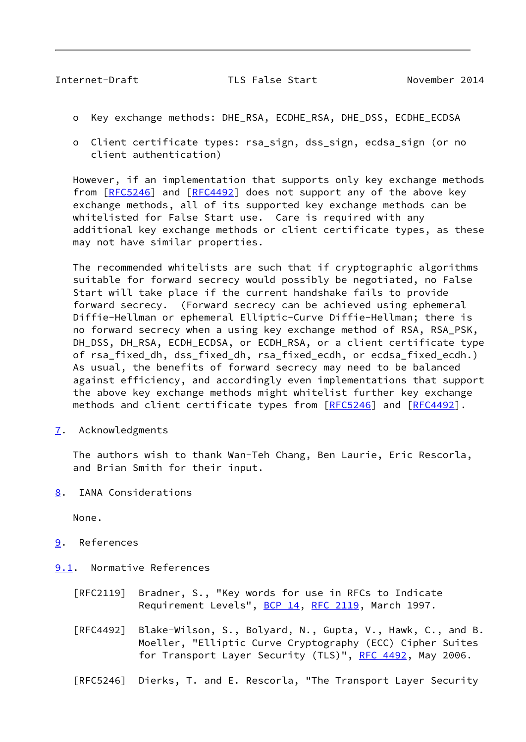<span id="page-9-1"></span>Internet-Draft TLS False Start November 2014

- o Key exchange methods: DHE\_RSA, ECDHE\_RSA, DHE\_DSS, ECDHE\_ECDSA
- o Client certificate types: rsa\_sign, dss\_sign, ecdsa\_sign (or no client authentication)

 However, if an implementation that supports only key exchange methods from  $[REC5246]$  and  $[REC4492]$  does not support any of the above key exchange methods, all of its supported key exchange methods can be whitelisted for False Start use. Care is required with any additional key exchange methods or client certificate types, as these may not have similar properties.

 The recommended whitelists are such that if cryptographic algorithms suitable for forward secrecy would possibly be negotiated, no False Start will take place if the current handshake fails to provide forward secrecy. (Forward secrecy can be achieved using ephemeral Diffie-Hellman or ephemeral Elliptic-Curve Diffie-Hellman; there is no forward secrecy when a using key exchange method of RSA, RSA\_PSK, DH\_DSS, DH\_RSA, ECDH\_ECDSA, or ECDH\_RSA, or a client certificate type of rsa\_fixed\_dh, dss\_fixed\_dh, rsa\_fixed\_ecdh, or ecdsa\_fixed\_ecdh.) As usual, the benefits of forward secrecy may need to be balanced against efficiency, and accordingly even implementations that support the above key exchange methods might whitelist further key exchange methods and client certificate types from [[RFC5246](https://datatracker.ietf.org/doc/pdf/rfc5246)] and [\[RFC4492](https://datatracker.ietf.org/doc/pdf/rfc4492)].

<span id="page-9-0"></span>[7](#page-9-0). Acknowledgments

 The authors wish to thank Wan-Teh Chang, Ben Laurie, Eric Rescorla, and Brian Smith for their input.

<span id="page-9-2"></span>[8](#page-9-2). IANA Considerations

None.

- <span id="page-9-3"></span>[9](#page-9-3). References
- <span id="page-9-4"></span>[9.1](#page-9-4). Normative References
	- [RFC2119] Bradner, S., "Key words for use in RFCs to Indicate Requirement Levels", [BCP 14](https://datatracker.ietf.org/doc/pdf/bcp14), [RFC 2119](https://datatracker.ietf.org/doc/pdf/rfc2119), March 1997.
	- [RFC4492] Blake-Wilson, S., Bolyard, N., Gupta, V., Hawk, C., and B. Moeller, "Elliptic Curve Cryptography (ECC) Cipher Suites for Transport Layer Security (TLS)", [RFC 4492](https://datatracker.ietf.org/doc/pdf/rfc4492), May 2006.
	- [RFC5246] Dierks, T. and E. Rescorla, "The Transport Layer Security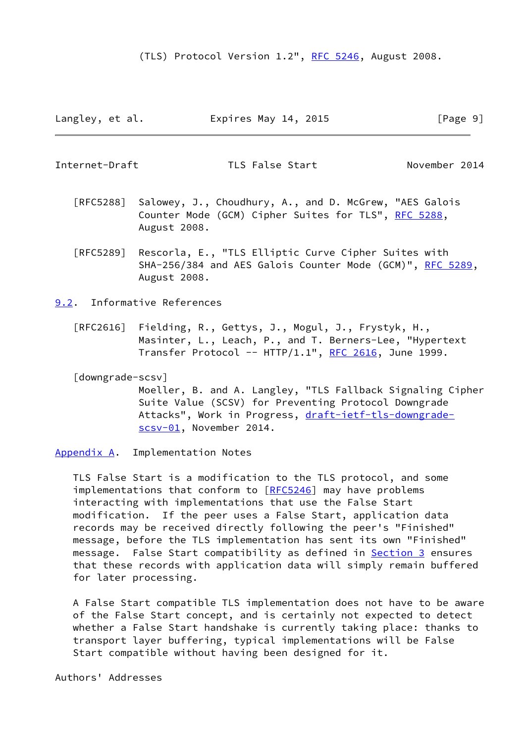Langley, et al. **Expires May 14, 2015** [Page 9]

<span id="page-10-1"></span>Internet-Draft TLS False Start November 2014

- [RFC5288] Salowey, J., Choudhury, A., and D. McGrew, "AES Galois Counter Mode (GCM) Cipher Suites for TLS", [RFC 5288](https://datatracker.ietf.org/doc/pdf/rfc5288), August 2008.
- [RFC5289] Rescorla, E., "TLS Elliptic Curve Cipher Suites with SHA-256/384 and AES Galois Counter Mode (GCM)", [RFC 5289,](https://datatracker.ietf.org/doc/pdf/rfc5289) August 2008.

<span id="page-10-0"></span>[9.2](#page-10-0). Informative References

 [RFC2616] Fielding, R., Gettys, J., Mogul, J., Frystyk, H., Masinter, L., Leach, P., and T. Berners-Lee, "Hypertext Transfer Protocol --  $HTIP/1.1$ ", [RFC 2616,](https://datatracker.ietf.org/doc/pdf/rfc2616) June 1999.

<span id="page-10-3"></span>[downgrade-scsv]

 Moeller, B. and A. Langley, "TLS Fallback Signaling Cipher Suite Value (SCSV) for Preventing Protocol Downgrade Attacks", Work in Progress, [draft-ietf-tls-downgrade](https://datatracker.ietf.org/doc/pdf/draft-ietf-tls-downgrade-scsv-01) [scsv-01](https://datatracker.ietf.org/doc/pdf/draft-ietf-tls-downgrade-scsv-01), November 2014.

<span id="page-10-2"></span>[Appendix A.](#page-10-2) Implementation Notes

 TLS False Start is a modification to the TLS protocol, and some implementations that conform to  $[RECS246]$  may have problems interacting with implementations that use the False Start modification. If the peer uses a False Start, application data records may be received directly following the peer's "Finished" message, before the TLS implementation has sent its own "Finished" message. False Start compatibility as defined in **Section 3** ensures that these records with application data will simply remain buffered for later processing.

 A False Start compatible TLS implementation does not have to be aware of the False Start concept, and is certainly not expected to detect whether a False Start handshake is currently taking place: thanks to transport layer buffering, typical implementations will be False Start compatible without having been designed for it.

Authors' Addresses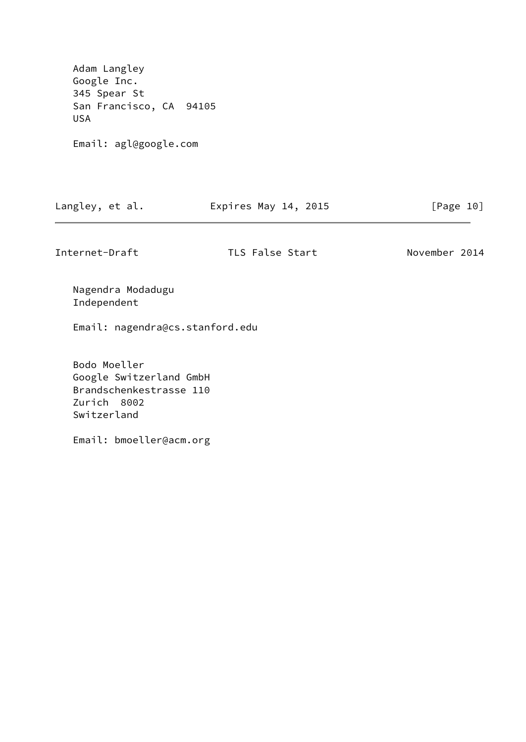Adam Langley Google Inc. 345 Spear St San Francisco, CA 94105 USA

Email: agl@google.com

| Langley, et al. | Expires May 14, 2015 | [Page 10] |
|-----------------|----------------------|-----------|
|-----------------|----------------------|-----------|

Internet-Draft TLS False Start November 2014

 Nagendra Modadugu Independent

Email: nagendra@cs.stanford.edu

 Bodo Moeller Google Switzerland GmbH Brandschenkestrasse 110 Zurich 8002 Switzerland

Email: bmoeller@acm.org